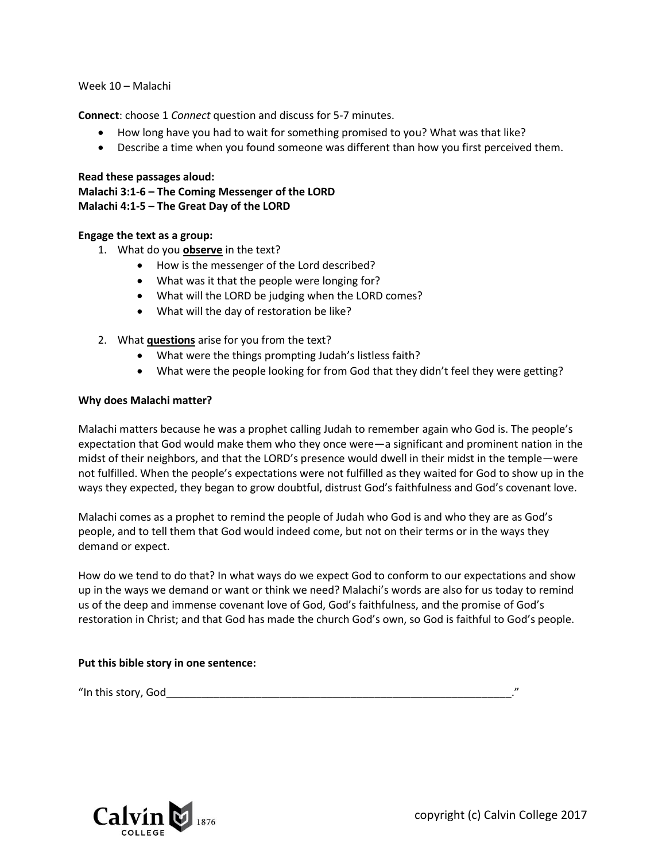## Week 10 – Malachi

**Connect**: choose 1 *Connect* question and discuss for 5-7 minutes.

- How long have you had to wait for something promised to you? What was that like?
- Describe a time when you found someone was different than how you first perceived them.

### **Read these passages aloud:**

**Malachi 3:1-6 – The Coming Messenger of the LORD Malachi 4:1-5 – The Great Day of the LORD**

# **Engage the text as a group:**

- 1. What do you **observe** in the text?
	- How is the messenger of the Lord described?
	- What was it that the people were longing for?
	- What will the LORD be judging when the LORD comes?
	- What will the day of restoration be like?
- 2. What **questions** arise for you from the text?
	- What were the things prompting Judah's listless faith?
	- What were the people looking for from God that they didn't feel they were getting?

## **Why does Malachi matter?**

Malachi matters because he was a prophet calling Judah to remember again who God is. The people's expectation that God would make them who they once were—a significant and prominent nation in the midst of their neighbors, and that the LORD's presence would dwell in their midst in the temple—were not fulfilled. When the people's expectations were not fulfilled as they waited for God to show up in the ways they expected, they began to grow doubtful, distrust God's faithfulness and God's covenant love.

Malachi comes as a prophet to remind the people of Judah who God is and who they are as God's people, and to tell them that God would indeed come, but not on their terms or in the ways they demand or expect.

How do we tend to do that? In what ways do we expect God to conform to our expectations and show up in the ways we demand or want or think we need? Malachi's words are also for us today to remind us of the deep and immense covenant love of God, God's faithfulness, and the promise of God's restoration in Christ; and that God has made the church God's own, so God is faithful to God's people.

# **Put this bible story in one sentence:**

"In this story, God\_\_\_\_\_\_\_\_\_\_\_\_\_\_\_\_\_\_\_\_\_\_\_\_\_\_\_\_\_\_\_\_\_\_\_\_\_\_\_\_\_\_\_\_\_\_\_\_\_\_\_\_\_\_\_\_\_\_."